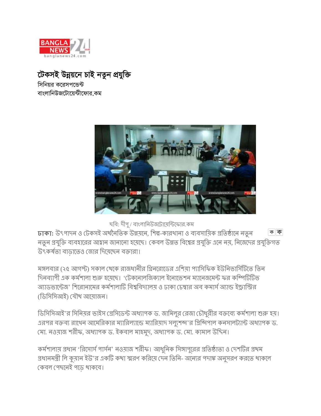

*টে*কসই উন্নয়নে চাই নতুন প্ৰযুক্তি

*সি*নিয়র করেসপডেন্ট বাংলানিউজটোযেন্টীফোর কম



ছবি: দীপু / বাংলানিউজটোয়েন্টিফোর.কম

**ঢাকা:** উৎপাদন ও টেকসই অৰ্থনৈতিক উন্নয়নে, শিল্প-কারখানা ও ব্যবসায়িক প্রতিষ্ঠানে নতুন কাক নতুন প্রযুক্তি ব্যবহারের আহ্বান জানানো হয়েছে। কেবল উন্নত বিশ্বের প্রযুক্তি এনে নয়, নিজেদের প্রযুক্তিগত উৎকর্ষতা বাডাতেও জোর দিয়েছেন বক্তারা।

মঙ্গলবার (২৫ আগস্ট) সকাল থেকে রাজধানীর গ্রিনরোডের এশিয়া প্যাসিফিক ইউনিভার্সিটিতে তিন দিনব্যাপী এক কর্মশালা শুরু হযেছে। 'টেকনোলজিক্যাল ইনোভেশন ম্যানেজমেন্ট ফর কম্পিটিটিভ ' আডভান্টেজ' শিরোনামের কর্মশালাটি বিশ্ববিদ্যালয় ও ঢাকা চেম্বার অব কমার্স অ্যান্ড ইন্ডাস্ট্রির (ডিসিসিআই) যৌথ আয়োজন।

ডিসিসিআই'র সিনিয়র ভাইস প্রেসিডেন্ট অধ্যাপক ড. জামিলুর রেজা চৌধুরীর বক্তব্যে কর্মশালা শুরু হয়। এরপর বক্তব্য রাখেন আমেরিকার ম্যারিল্যান্ডে ম্যারিয়াদ সল্যুশব্দ'র প্রিন্সিপাল কনসালট্যান্ট অধ্যাপক ড. মো. নওয়াজ শরীফ, অধ্যাপক ড. ইকবাল মাহমুদ, অধ্যাপক ড. মো. কামাল উদ্দিন।

কর্মশালায় প্রধান 'রিসোর্স পার্সন' নওয়াজ শরীফ। আধুনিক সিঙ্গাপুরের প্রতিষ্ঠাতা ও দেশটির প্রথম প্রধানমন্ত্রী লি কুয়ান ইউ'র একটি কথা স্মরণ করিয়ে দেন তিনি- অন্যের পদাঙ্ক অনুসরণ করতে থাকলে কেবল পেছনেই পডে থাকবে।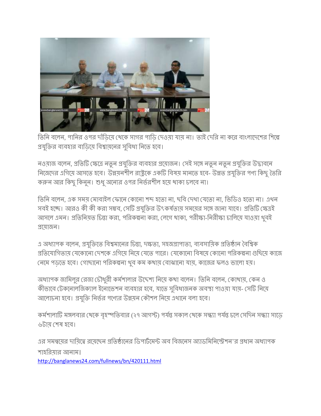

তিনি বলেন, পানির ওপর দাঁড়িয়ে থেকে সাগর পাড়ি দেওয়া যায় না। তাই দেরি না করে বাংলাদেশের শিল্পে প্রযুক্তির ব্যবহার বাডিয়ে বিশ্বায়নের সুবিধা নিতে হবে।

নওয়াজ বলেন, প্রতিটি ক্ষেত্রে নতুন প্রযুক্তির ব্যবহার প্রয়োজন। সেই সঙ্গে নতুন নতুন প্রযুক্তির উদ্ভাবনে নিজেদের এগিয়ে আসতে হবে। উন্নয়নশীল রাষ্ট্রকে একটি বিষয় মানতে হবে- উন্নত প্রযুক্তির পণ্য কিছু তৈরি করুন আর কিছু কিনুন। শুধু অন্যের ওপর নির্ভরশীল হয়ে থাকা চলবে না।

তিনি বলেন, এক সময় মোবাইল ফোনে কোনো শব্দ হতো না, ছবি দেখা যেতো না, ভিডিও হতো না। এথন সবই হচ্ছে। আরও কী কী করা সম্ভব, সেটি প্রযুক্তির উৎকর্ষতায় সময়ের সঙ্গে জানা যাবে। প্রতিটি ক্ষেত্রই আসলে এমন। প্রতিনিয়ত চিন্তা করা, পরিকল্পনা করা, লেগে থাকা, পরীক্ষা-নিরীক্ষা চালিয়ে যাওয়া থুবই প্ৰযোজন।

এ অধ্যাপক বলেন, প্রযুক্তিতে বিশ্বমানের চিন্তা, দক্ষতা, সহজপ্রাপ্যতা, ব্যবসায়িক প্রতিষ্ঠান বৈশ্বিক প্রতিযোগিতায় যেকোনো দেশকে এগিয়ে নিয়ে যেতে পারে। যেকোনো বিষয়ে কোনো পরিকল্পনা গুছিয়ে কাজে নেমে পডতে হবে। গোছানো পরিকল্পনা থব কম কথায় বোঝানো যায়, কাজের ফলও ভালো হয়।

অধ্যাপক জামিলুর রেজা চৌধুরী কর্মশালার উদ্দেশ্য নিয়ে কথা বলেন। তিনি বলেন, কোথায়, কেন ও কীভাবে টেকনোলজিক্যাল ইনোভেশন ব্যবহার হবে, যাতে সুবিধাজনক অবস্থা পাওয়া যায়- সেটি নিয়ে আলোচনা হবে। প্রযুক্তি নির্ভর পণ্যের উন্নয়ন কৌশল নিয়ে এথানে বলা হবে।

কর্মশালাটি মঙ্গলবার থেকে বৃহস্পতিবার (২৭ আগস্ট) পর্যন্ত সকাল থেকে সন্ধ্যা পর্যন্ত চলে সেদিন সন্ধ্যা সাডে ৬টায শেষ হবে।

এর সমন্বয়ের দায়িত্বে রয়েছেন প্রতিষ্ঠানের ডিপার্টমেন্ট অব বিজনেস অ্যাডমিনিস্ট্রেশন'র প্রধান অধ্যাপক শাহরিয়ার আনাম।

<http://banglanews24.com/fullnews/bn/420111.html>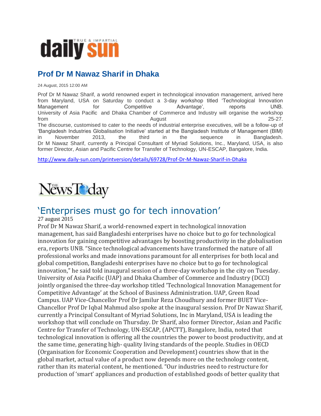

## **Prof Dr M Nawaz Sharif in Dhaka**

24 August, 2015 12:00 AM

Prof Dr M Nawaz Sharif, a world renowned expert in technological innovation management, arrived here from Maryland, USA on Saturday to conduct a 3-day workshop titled 'Technological Innovation Management for Competitive Advantage', reports UNB. University of Asia Pacific and Dhaka Chamber of Commerce and Industry will organise the workshop from August 25-27. The discourse, customised to cater to the needs of industrial enterprise executives, will be a follow-up of 'Bangladesh Industries Globalisation Initiative' started at the Bangladesh Institute of Management (BIM) in November 2013, the third in the sequence in Bangladesh. Dr M Nawaz Sharif, currently a Principal Consultant of Myriad Solutions, Inc., Maryland, USA, is also former Director, Asian and Pacific Centre for Transfer of Technology, UN-ESCAP, Bangalore, India.

<http://www.daily-sun.com/printversion/details/69728/Prof-Dr-M-Nawaz-Sharif-in-Dhaka>



## 'Enterprises must go for tech innovation'

#### 27 august 2015

Prof Dr M Nawaz Sharif, a world-renowned expert in technological innovation management, has said Bangladeshi enterprises have no choice but to go for technological innovation for gaining competitive advantages by boosting productivity in the globalisation era, reports UNB. "Since technological advancements have transformed the nature of all professional works and made innovations paramount for all enterprises for both local and global competition, Bangladeshi enterprises have no choice but to go for technological innovation," he said told inaugural session of a three-day workshop in the city on Tuesday. University of Asia Pacific (UAP) and Dhaka Chamber of Commerce and Industry (DCCI) jointly organised the three-day workshop titled 'Technological Innovation Management for Competitive Advantage' at the School of Business Administration. UAP, Green Road Campus. UAP Vice-Chancellor Prof Dr Jamilur Reza Choudhury and former BUET Vice-Chancellor Prof Dr Iqbal Mahmud also spoke at the inaugural session. Prof Dr Nawaz Sharif, currently a Principal Consultant of Myriad Solutions, Inc in Maryland, USA is leading the workshop that will conclude on Thursday. Dr Sharif, also former Director, Asian and Pacific Centre for Transfer of Technology, UN-ESCAP, (APCTT), Bangalore, India, noted that technological innovation is offering all the countries the power to boost productivity, and at the same time, generating high- quality living standards of the people. Studies in OECD (Organisation for Economic Cooperation and Development) countries show that in the global market, actual value of a product now depends more on the technology content, rather than its material content, he mentioned. "Our industries need to restructure for production of 'smart' appliances and production of established goods of better quality that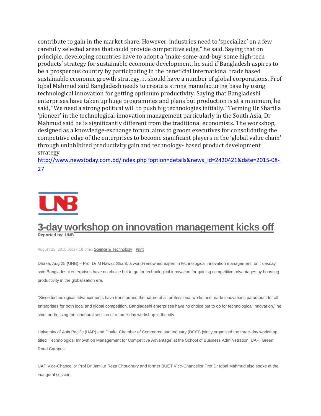contribute to gain in the market share. However, industries need to 'specialize' on a few carefully selected areas that could provide competitive edge," he said. Saying that on principle, developing countries have to adopt a 'make-some-and-buy-some high-tech products' strategy for sustainable economic development, he said if Bangladesh aspires to be a prosperous country by participating in the beneficial international trade based sustainable economic growth strategy, it should have a number of global corporations. Prof Iqbal Mahmud said Bangladesh needs to create a strong manufacturing base by using technological innovation for getting optimum productivity. Saying that Bangladeshi enterprises have taken up huge programmes and plans but production is at a minimum, he said, "We need a strong political will to push big technologies initially." Terming Dr Sharif a 'pioneer' in the technological innovation management particularly in the South Asia, Dr Mahmud said he is significantly different from the traditional economists. The workshop, designed as a knowledge-exchange forum, aims to groom executives for consolidating the competitive edge of the enterprises to become significant players in the 'global value chain' through uninhibited productivity gain and technology- based product development strategy

[http://www.newstoday.com.bd/index.php?option=details&news\\_id=2420421&date=2015-08-](http://www.newstoday.com.bd/index.php?option=details&news_id=2420421&date=2015-08-27) [27](http://www.newstoday.com.bd/index.php?option=details&news_id=2420421&date=2015-08-27)



#### **3-day workshop on innovation [management](http://unb.com.bd/tech-innovation-workshop) kicks off Reported by: [UNB](http://unb.com.bd/author/UNB)**

August 25, 2015 05:27:10 pmin Science & [Technology](http://unb.com.bd/news/science-technology) [Print](http://unb.com.bd/print/tech-innovation-workshop)

Dhaka, Aug 25 (UNB) – Prof Dr M Nawaz Sharif, a world-renowned expert in technological innovation management, on Tuesday said Bangladeshi enterprises have no choice but to go for technological innovation for gaining competitive advantages by boosting productivity in the globalisation era.

"Since technological advancements have transformed the nature of all professional works and made innovations paramount for all enterprises for both local and global competition, Bangladeshi enterprises have no choice but to go for technological innovation," he said, addressing the inaugural session of a three-day workshop in the city.

University of Asia Pacific (UAP) and Dhaka Chamber of Commerce and Industry (DCCI) jointly organised the three-day workshop titled 'Technological Innovation Management for Competitive Advantage' at the School of Business Administration, UAP, Green Road Campus.

UAP Vice-Chancellor Prof Dr Jamilur Reza Choudhury and former BUET Vice-Chancellor Prof Dr Iqbal Mahmud also spoke at the inaugural session.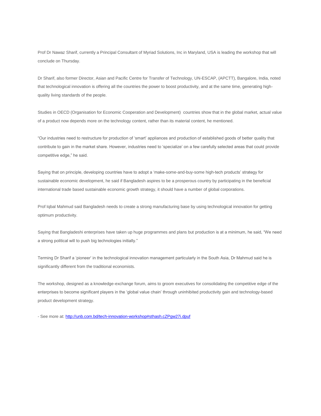Prof Dr Nawaz Sharif, currently a Principal Consultant of Myriad Solutions, Inc in Maryland, USA is leading the workshop that will conclude on Thursday.

Dr Sharif, also former Director, Asian and Pacific Centre for Transfer of Technology, UN-ESCAP, (APCTT), Bangalore, India, noted that technological innovation is offering all the countries the power to boost productivity, and at the same time, generating highquality living standards of the people.

Studies in OECD (Organisation for Economic Cooperation and Development) countries show that in the global market, actual value of a product now depends more on the technology content, rather than its material content, he mentioned.

"Our industries need to restructure for production of 'smart' appliances and production of established goods of better quality that contribute to gain in the market share. However, industries need to 'specialize' on a few carefully selected areas that could provide competitive edge," he said.

Saying that on principle, developing countries have to adopt a 'make-some-and-buy-some high-tech products' strategy for sustainable economic development, he said if Bangladesh aspires to be a prosperous country by participating in the beneficial international trade based sustainable economic growth strategy, it should have a number of global corporations.

Prof Iqbal Mahmud said Bangladesh needs to create a strong manufacturing base by using technological innovation for getting optimum productivity.

Saying that Bangladeshi enterprises have taken up huge programmes and plans but production is at a minimum, he said, "We need a strong political will to push big technologies initially."

Terming Dr Sharif a 'pioneer' in the technological innovation management particularly in the South Asia, Dr Mahmud said he is significantly different from the traditional economists.

The workshop, designed as a knowledge-exchange forum, aims to groom executives for consolidating the competitive edge of the enterprises to become significant players in the 'global value chain' through uninhibited productivity gain and technology-based product development strategy.

- See more at:<http://unb.com.bd/tech-innovation-workshop#sthash.cZPgw27i.dpuf>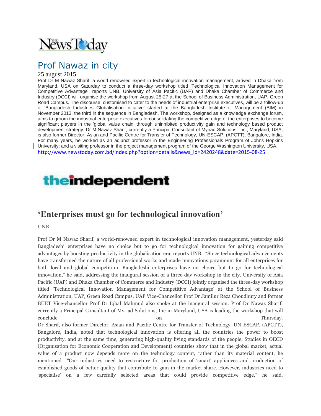

## Prof Nawaz in city

#### 25 august 2015

Prof Dr M Nawaz Sharif, a world renowned expert in technological innovation management, arrived in Dhaka from Maryland, USA on Saturday to conduct a three-day workshop titled 'Technological Innovation Management for Competitive Advantage', reports UNB. University of Asia Pacific (UAP) and Dhaka Chamber of Commerce and Industry (DCCI) will organise the workshop from August 25-27 at the School of Business Administration, UAP, Green Road Campus. The discourse, customised to cater to the needs of industrial enterprise executives, will be a follow-up of 'Bangladesh Industries Globalisation Initiative' started at the Bangladesh Institute of Management (BIM) in November 2013, the third in the sequence in Bangladesh. The workshop, designed as a knowledge exchange forum, aims to groom the industrial enterprise executives forconsolidating the competitive edge of the enterprises to become significant players in the 'global value chain' through uninhibited productivity gain and technology based product development strategy. Dr M Nawaz Sharif, currently a Principal Consultant of Myriad Solutions, Inc., Maryland, USA, is also former Director, Asian and Pacific Centre for Transfer of Technology, UN-ESCAP, (APCTT), Bangalore, India. For many years, he worked as an adjunct professor in the Engineering Professionals Program of Johns Hopkins University; and a visiting professor in the project management program of the George Washington University, USA. [http://www.newstoday.com.bd/index.php?option=details&news\\_id=2420248&date=2015-08-25](http://www.newstoday.com.bd/index.php?option=details&news_id=2420248&date=2015-08-25)

# **theindependent**

## **'Enterprises must go for technological innovation'**

**UNB**

Prof Dr M Nawaz Sharif, a world-renowned expert in technological innovation management, yesterday said Bangladeshi enterprises have no choice but to go for technological innovation for gaining competitive advantages by boosting productivity in the globalisation era, reports UNB. "Since technological advancements have transformed the nature of all professional works and made innovations paramount for all enterprises for both local and global competition, Bangladeshi enterprises have no choice but to go for technological innovation," he said, addressing the inaugural session of a three-day workshop in the city. University of Asia Pacific (UAP) and Dhaka Chamber of Commerce and Industry (DCCI) jointly organised the three-day workshop titled 'Technological Innovation Management for Competitive Advantage' at the School of Business Administration, UAP, Green Road Campus. UAP Vice-Chancellor Prof Dr Jamilur Reza Choudhury and former BUET Vice-chancellor Prof Dr Iqbal Mahmud also spoke at the inaugural session. Prof Dr Nawaz Sharif, currently a Principal Consultant of Myriad Solutions, Inc in Maryland, USA is leading the workshop that will conclude on Thursday. Dr Sharif, also former Director, Asian and Pacific Centre for Transfer of Technology, UN-ESCAP, (APCTT), Bangalore, India, noted that technological innovation is offering all the countries the power to boost productivity, and at the same time, generating high-quality living standards of the people. Studies in OECD (Organisation for Economic Cooperation and Development) countries show that in the global market, actual value of a product now depends more on the technology content, rather than its material content, he mentioned. "Our industries need to restructure for production of 'smart' appliances and production of established goods of better quality that contribute to gain in the market share. However, industries need to 'specialise' on a few carefully selected areas that could provide competitive edge," he said.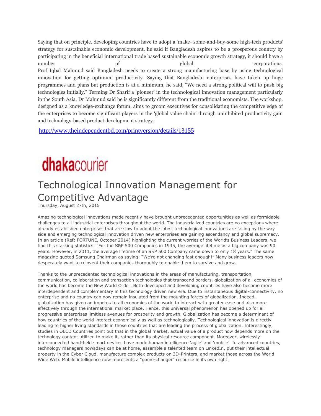Saying that on principle, developing countries have to adopt a 'make- some-and-buy-some high-tech products' strategy for sustainable economic development, he said if Bangladesh aspires to be a prosperous country by participating in the beneficial international trade based sustainable economic growth strategy, it should have a number of global corporations. Prof Iqbal Mahmud said Bangladesh needs to create a strong manufacturing base by using technological innovation for getting optimum productivity. Saying that Bangladeshi enterprises have taken up huge programmes and plans but production is at a minimum, he said, "We need a strong political will to push big technologies initially." Terming Dr Sharif a 'pioneer' in the technological innovation management particularly in the South Asia, Dr Mahmud said he is significantly different from the traditional economists. The workshop, designed as a knowledge-exchange forum, aims to groom executives for consolidating the competitive edge of the enterprises to become significant players in the 'global value chain' through uninhibited productivity gain and technology-based product development strategy.

<http://www.theindependentbd.com/printversion/details/13155>

# **dhakacourier**

## Technological Innovation Management for Competitive Advantage

Thursday, August 27th, 2015

Amazing technological innovations made recently have brought unprecedented opportunities as well as formidable challenges to all industrial enterprises throughout the world. The industrialized countries are no exceptions where already established enterprises that are slow to adopt the latest technological innovations are falling by the way side and emerging technological innovation driven new enterprises are gaining ascendancy and global supremacy. In an article (Ref: FORTUNE, October 2014) highlighting the current worries of the World's Business Leaders, we find this starking statistics: "For the S&P 500 Companies in 1935, the average lifetime as a big company was 90 years. However, in 2011, the average lifetime of an S&P 500 Company came down to only 18 years." The same magazine quoted Samsung Chairman as saying: "We're not changing fast enough!" Many business leaders now desperately want to reinvent their companies thoroughly to enable them to survive and grow.

Thanks to the unprecedented technological innovations in the areas of manufacturing, transportation, communication, collaboration and transaction technologies that transcend borders, globalization of all economies of the world has become the New World Order. Both developed and developing countries have also become more interdependent and complementary in this technology driven new era. Due to instantaneous digital-connectivity, no enterprise and no country can now remain insulated from the mounting forces of globalization. Indeed, globalization has given an impetus to all economies of the world to interact with greater ease and also more effectively through the international market place. Hence, this universal phenomenon has opened up for all progressive enterprises limitless avenues for prosperity and growth. Globalization has become a determinant of how countries of the world interact economically as well as technologically. Technological innovation is directly leading to higher living standards in those countries that are leading the process of globalization. Interestingly, studies in OECD Countries point out that in the global market, actual value of a product now depends more on the technology content utilized to make it, rather than its physical resource component. Moreover, wirelesslyinterconnected hand-held smart devices have made human intelligence 'agile' and 'mobile'. In advanced countries, technology managers nowadays can be at home, assemble a talented team on LinkedIn, put their intellectual property in the Cyber Cloud, manufacture complex products on 3D-Printers, and market those across the World Wide Web. Mobile intelligence now represents a "game-changer" resource in its own right.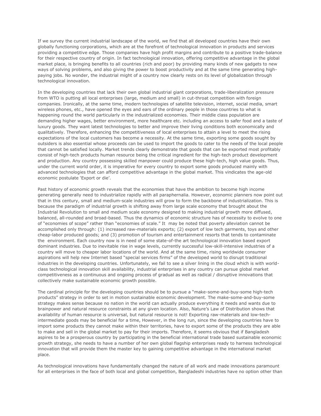If we survey the current industrial landscape of the world, we find that all developed countries have their own globally functioning corporations, which are at the forefront of technological innovation in products and services providing a competitive edge. Those companies have high profit margins and contribute to a positive trade-balance for their respective country of origin. In fact technological innovation, offering competitive advantage in the global market place, is bringing benefits to all countries (rich and poor) by providing many kinds of new gadgets to new ways of solving problems, and also giving the power to boost productivity and at the same time generating highpaying jobs. No wonder, the industrial might of a country now clearly rests on its level of globalization through technological innovation.

In the developing countries that lack their own global industrial giant corporations, trade-liberalization pressure from WTO is putting all local enterprises (large, medium and small) in cut-throat competition with foreign companies. Ironically, at the same time, modern technologies of satellite television, internet, social media, smart wireless phones, etc., have opened the eyes and ears of the ordinary people in those countries to what is happening round the world particularly in the industrialized economies. Their middle class population are demanding higher wages, better environment, more healthcare etc. including an access to safer food and a taste of luxury goods. They want latest technologies to better and improve their living conditions both economically and qualitatively. Therefore, enhancing the competitiveness of local enterprises to attain a level to meet the rising expectations of the local customers has become a necessity. At the same time, exporting some goods sought by outsiders is also essential whose proceeds can be used to import the goods to cater to the needs of the local people that cannot be satisfied locally. Market trends clearly demonstrate that goods that can be exported most profitably consist of high-tech products human resource being the critical ingredient for the high-tech product development and production. Any country possessing skilled manpower could produce these high-tech, high value goods. Thus, under the current world order, it is imperative for every country to export some goods produced mainly with advanced technologies that can afford competitive advantage in the global market. This vindicates the age-old economic postulate 'Export or die'.

Past history of economic growth reveals that the economies that have the ambition to become high income generating generally need to industrialize rapidly with all paraphernalia. However, economic planners now point out that in this century, small and medium-scale industries will grow to form the backbone of industrialization. This is because the paradigm of industrial growth is shifting away from large scale economy that brought about the Industrial Revolution to small and medium scale economy designed to making industrial growth more diffused, balanced, all-rounded and broad-based. Thus the dynamics of economic structure has of necessity to evolve to one of "economies of scope" rather than "economies of scale." It may be noted that poverty alleviation cannot be accomplished only through: (1) increased raw-materials exports; (2) export of low tech garments, toys and other cheap-labor produced goods; and (3) promotion of tourism and entertainment resorts that tends to contaminate the environment. Each country now is in need of some state-of-the art technological innovation based export dominant industries. Due to inevitable rise in wage levels, currently successful low-skill-intensive industries of a country will move to cheaper labor locations of the world. And at the same time, rising worldwide consumer aspirations will help new Internet based "special services firms" of the developed world to disrupt traditional industries in the developing countries. Unfortunately, we fail to see a silver lining in the cloud which is with worldclass technological innovation skill availability, industrial enterprises in any country can pursue global market competitiveness as a continuous and ongoing process of gradual as well as radical / disruptive innovations that collectively make sustainable economic growth possible.

The cardinal principle for the developing countries should be to pursue a "make-some-and-buy-some high-tech products" strategy in order to set in motion sustainable economic development. The make-some-and-buy-some strategy makes sense because no nation in the world can actually produce everything it needs and wants due to brainpower and natural resource constraints at any given location. Also, Nature's Law of Distribution shows that availability of human resource is universal, but natural resource is not! Exporting raw-materials and low-techintermediate goods may be beneficial for a time, However, in the long run, since the developing countries have to import some products they cannot make within their territories, have to export some of the products they are able to make and sell in the global market to pay for their imports. Therefore, it seems obvious that if Bangladesh aspires to be a prosperous country by participating in the beneficial international trade based sustainable economic growth strategy, she needs to have a number of her own global flagship enterprises ready to harness technological innovation that will provide them the master key to gaining competitive advantage in the international market place.

As technological innovations have fundamentally changed the nature of all work and made innovations paramount for all enterprises in the face of both local and global competition, Bangladeshi industries have no option other than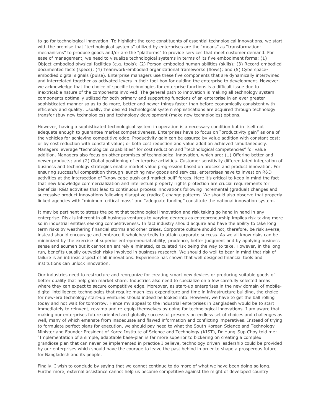to go for technological innovation. To highlight the core constituents of essential technological innovations, we start with the premise that "technological systems" utilized by enterprises are the "means" as "transformationmechanisms" to produce goods and/or are the "platforms" to provide services that meet customer demand. For ease of management, we need to visualize technological systems in terms of its five embodiment forms: (1) Object-embodied physical facilities (e.g. tools); (2) Person-embodied human abilities (skills); (3) Record-embodied documented facts (specs); (4) Teamwork-embodied organizational frameworks (flows); and (5) Cyberspaceembodied digital signals (pulse). Enterprise managers use these five components that are dynamically intertwined and interrelated together as activated levers in their tool-box for guiding the enterprise to development. However, we acknowledge that the choice of specific technologies for enterprise functions is a difficult issue due to inextricable nature of the components involved. The general path to innovation is making all technology system components optimally utilized for both primary and supporting functions of an enterprise in an ever greater sophisticated manner so as to do more, better and newer things faster than before economically consistent with efficiency and quality. Usually, the desired technological system sophistications are acquired through technology transfer (buy new technologies) and technology development (make new technologies) options.

However, having a sophisticated technological system in operation is a necessary condition but in itself not adequate enough to guarantee market competitiveness. Enterprises have to focus on "productivity gain" as one of the vehicles for achieving competitive edge. Productivity gain can be assured by value addition with constant cost; or by cost reduction with constant value; or both cost reduction and value addition achieved simultaneously. Managers leverage "technological capabilities" for cost reduction and "technological competencies" for value addition. Managers also focus on other promises of technological innovation, which are: (1) Offering better and newer products; and (2) Global positioning of enterprise activities. Customer sensitivity differentiated integration of business and technology strategies enable market value progression based on process and product innovation. For ensuring successful competition through launching new goods and services, enterprises have to invest on R&D activities at the intersection of "knowledge-push and market-pull" forces. Here it's critical to keep in mind the fact that new knowledge commercialization and intellectual property rights protection are crucial requirements for beneficial R&D activities that lead to continuous process innovations following incremental (gradual) changes and successive product innovations following disruptive (radical) change patterns. We should also observe that properly linked agencies with "minimum critical mass" and "adequate funding" constitute the national innovation system.

It may be pertinent to stress the point that technological innovation and risk taking go hand in hand in any enterprise. Risk is inherent in all business ventures to varying degrees as entrepreneurship implies risk taking more so in industrial entities seeking competitiveness. In fact industry should acquire and have the ability to take long term risks by weathering financial storms and other crises. Corporate culture should not, therefore, be risk averse, instead should encourage and embrace it wholeheartedly to attain corporate success. As we all know risks can be minimized by the exercise of superior entrepreneurial ability, prudence, better judgment and by applying business sense and acumen but it cannot an entirely eliminated, calculated risk being the way to take. However, in the long run, benefits usually outweigh risks involved in business research. We should do well to bear in mind that risk of failure is an intrinsic aspect of all innovations. Experience has shown that well designed financial tools and institutions can unlock innovation.

Our industries need to restructure and reorganize for creating smart new devices or producing suitable goods of better quality that help gain market share. Industries also need to specialize on a few carefully selected areas where they can expect to secure competitive edge. Moreover, as start-up enterprises in the new domain of mobiledigital-intelligence-technologies that require much less expenditure and time in infrastructure building, the choice for new-era technology start-up ventures should indeed be looked into. However, we have to get the ball rolling today and not wait for tomorrow. Hence my appeal to the industrial enterprises in Bangladesh would be to start immediately to reinvent, revamp and re-equip themselves by going for technological innovations. I am aware that making our enterprises future oriented and globally successful presents an endless set of choices and challenges as well, many of which emanate from inadequate and flawed information and conflicting imperatives. Instead of trying to formulate perfect plans for execution, we should pay heed to what the South Korean Science and Technology Minister and Founder President of Korea Institute of Science and Technology (KIST), Dr Hung-Sup Choy told me: "Implementation of a simple, adaptable base-plan is far more superior to bickering on creating a complex grandiose plan that can never be implemented in practice I believe, technology driven leadership could be provided by our enterprises which should have the courage to leave the past behind in order to shape a prosperous future for Bangladesh and its people.

Finally, I wish to conclude by saying that we cannot continue to do more of what we have been doing so long. Furthermore, external assistance cannot help us become competitive against the might of developed country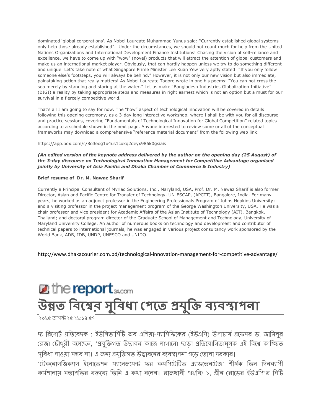dominated 'global corporations'. As Nobel Laureate Muhammad Yunus said: "Currently established global systems only help those already established". Under the circumstances, we should not count much for help from the United Nations Organizations and International Development Finance Institutions! Chasing the vision of self-reliance and excellence, we have to come up with "wow" (novel) products that will attract the attention of global customers and make us an international market player. Obviously, that can hardly happen unless we try to do something different and unique. Let's take note of what Singapore Prime Minister Lee Kuan Yew very aptly stated: "If you only follow someone else's footsteps, you will always be behind." However, it is not only our new vision but also immediate, painstaking action that really matters! As Nobel Laureate Tagore wrote in one his poems: "You can not cross the sea merely by standing and staring at the water." Let us make "Bangladesh Industries Globalization Initiative" (BIGI) a reality by taking appropriate steps and measures in right earnest which is not an option but a must for our survival in a fiercely competitive world.

That's all I am going to say for now. The "how" aspect of technological innovation will be covered in details following this opening ceremony, as a 3-day long interactive workshop, where I shall be with you for all discourse and practice sessions, covering "Fundamentals of Technological Innovation for Global Competition" related topics according to a schedule shown in the next page. Anyone interested to review some or all of the conceptual frameworks may download a comprehensive "reference material document" from the following web link:

#### https://app.box.com/s/8o3eog1u4us1cukq2deyx986k0gsiais

*(An edited version of the keynote address delivered by the author on the opening day (25 August) of the 3-day discourse on Technological Innovation Management for Competitive Advantage organised jointly by University of Asia Pacific and Dhaka Chamber of Commerce & Industry)*

#### **Brief resume of Dr. M. Nawaz Sharif**

Currently a Principal Consultant of Myriad Solutions, Inc., Maryland, USA, Prof. Dr. M. Nawaz Sharif is also former Director, Asian and Pacific Centre for Transfer of Technology, UN-ESCAP, (APCTT), Bangalore, India. For many years, he worked as an adjunct professor in the Engineering Professionals Program of Johns Hopkins University; and a visiting professor in the project management program of the George Washington University, USA. He was a chair professor and vice president for Academic Affairs of the Asian Institute of Technology (AIT), Bangkok, Thailand; and doctoral program director of the Graduate School of Management and Technology, University of Maryland University College. An author of numerous books on technology and development and contributor of technical papers to international journals, he was engaged in various project consultancy work sponsored by the World Bank, ADB, IDB, UNDP, UNESCO and UNIDO.

http://www.dhakacourier.com.bd/technological-innovation-management-for-competitive-advantage/

# **Z** the report<sub>24.com</sub> উন্নত বিশ্বের সুবিধা পেতে প্রযুক্তি ব্যবস্থাপনা

 $\overline{\phantom{a}}$ ২০১৫ আগস্ট ২৫ ২১:১৪:৫৭

দ্য রিপোর্ট প্রতিবেদক: ইউনিভার্সিটি অব এশিয়া-প্যাসিফিকের (ইউএপি) উপাচার্য প্রফেসর ড. জামিলুর রেজা চৌধুরী বলেছেন, 'প্রযুক্তিগত উদ্ভাবন কাজে লাগানো ছাডা প্রতিযোগিতামূলক এই বিশ্বে কাঙ্ক্ষিত সুবিধা পাওয়া সম্ভব না। এ জন্য প্রযুক্তিগত উদ্ভাবনের ব্যবস্থাপনা গড়ে তোলা দরকার।  $\cdot$ টেকনোলজিক্যাল ইনোভেশন ম্যানেজমেন্ট ফর কমশিটেটিভ এ্যাডভেনটেজ<sup>,</sup> শীর্ষক তিন দিনব্যাপী কর্মশালায় সভাপতির বক্তব্যে তিনি এ কথা বলেন। রাজধানী ৭৪/বি/ ১, গ্রীন রোডের ইউএপি'র সিটি